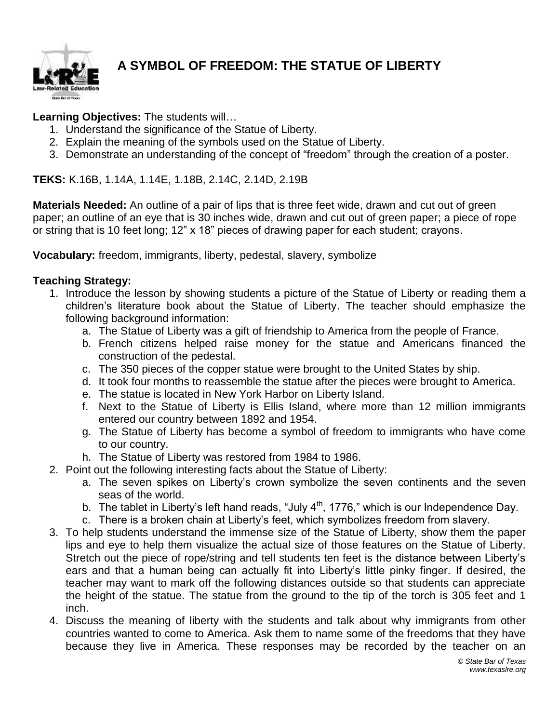

## **A SYMBOL OF FREEDOM: THE STATUE OF LIBERTY**

## **Learning Objectives:** The students will…

- 1. Understand the significance of the Statue of Liberty.
- 2. Explain the meaning of the symbols used on the Statue of Liberty.
- 3. Demonstrate an understanding of the concept of "freedom" through the creation of a poster.

**TEKS:** K.16B, 1.14A, 1.14E, 1.18B, 2.14C, 2.14D, 2.19B

**Materials Needed:** An outline of a pair of lips that is three feet wide, drawn and cut out of green paper; an outline of an eye that is 30 inches wide, drawn and cut out of green paper; a piece of rope or string that is 10 feet long; 12" x 18" pieces of drawing paper for each student; crayons.

**Vocabulary:** freedom, immigrants, liberty, pedestal, slavery, symbolize

## **Teaching Strategy:**

- 1. Introduce the lesson by showing students a picture of the Statue of Liberty or reading them a children's literature book about the Statue of Liberty. The teacher should emphasize the following background information:
	- a. The Statue of Liberty was a gift of friendship to America from the people of France.
	- b. French citizens helped raise money for the statue and Americans financed the construction of the pedestal.
	- c. The 350 pieces of the copper statue were brought to the United States by ship.
	- d. It took four months to reassemble the statue after the pieces were brought to America.
	- e. The statue is located in New York Harbor on Liberty Island.
	- f. Next to the Statue of Liberty is Ellis Island, where more than 12 million immigrants entered our country between 1892 and 1954.
	- g. The Statue of Liberty has become a symbol of freedom to immigrants who have come to our country.
	- h. The Statue of Liberty was restored from 1984 to 1986.
- 2. Point out the following interesting facts about the Statue of Liberty:
	- a. The seven spikes on Liberty's crown symbolize the seven continents and the seven seas of the world.
	- b. The tablet in Liberty's left hand reads, "July  $4<sup>th</sup>$ , 1776," which is our Independence Day.
	- c. There is a broken chain at Liberty's feet, which symbolizes freedom from slavery.
- 3. To help students understand the immense size of the Statue of Liberty, show them the paper lips and eye to help them visualize the actual size of those features on the Statue of Liberty. Stretch out the piece of rope/string and tell students ten feet is the distance between Liberty's ears and that a human being can actually fit into Liberty's little pinky finger. If desired, the teacher may want to mark off the following distances outside so that students can appreciate the height of the statue. The statue from the ground to the tip of the torch is 305 feet and 1 inch.
- 4. Discuss the meaning of liberty with the students and talk about why immigrants from other countries wanted to come to America. Ask them to name some of the freedoms that they have because they live in America. These responses may be recorded by the teacher on an